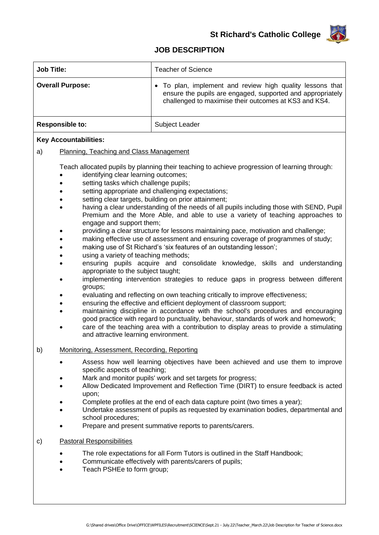

## **JOB DESCRIPTION**

| <b>Job Title:</b>                                                                                                                                                                                                                                                                                                                                                                                                                                                                                                  | <b>Teacher of Science</b>                                                                                                                                                      |
|--------------------------------------------------------------------------------------------------------------------------------------------------------------------------------------------------------------------------------------------------------------------------------------------------------------------------------------------------------------------------------------------------------------------------------------------------------------------------------------------------------------------|--------------------------------------------------------------------------------------------------------------------------------------------------------------------------------|
| <b>Overall Purpose:</b>                                                                                                                                                                                                                                                                                                                                                                                                                                                                                            | To plan, implement and review high quality lessons that<br>ensure the pupils are engaged, supported and appropriately<br>challenged to maximise their outcomes at KS3 and KS4. |
| <b>Responsible to:</b>                                                                                                                                                                                                                                                                                                                                                                                                                                                                                             | Subject Leader                                                                                                                                                                 |
| <b>Key Accountabilities:</b>                                                                                                                                                                                                                                                                                                                                                                                                                                                                                       |                                                                                                                                                                                |
| Planning, Teaching and Class Management<br>a)                                                                                                                                                                                                                                                                                                                                                                                                                                                                      |                                                                                                                                                                                |
| Teach allocated pupils by planning their teaching to achieve progression of learning through:<br>identifying clear learning outcomes;<br>setting tasks which challenge pupils;<br>setting appropriate and challenging expectations;<br>$\bullet$<br>setting clear targets, building on prior attainment;<br>having a clear understanding of the needs of all pupils including those with SEND, Pupil<br>Premium and the More Able, and able to use a variety of teaching approaches to<br>engage and support them; |                                                                                                                                                                                |

- providing a clear structure for lessons maintaining pace, motivation and challenge;
- making effective use of assessment and ensuring coverage of programmes of study;
- making use of St Richard's 'six features of an outstanding lesson';
- using a variety of teaching methods;
- ensuring pupils acquire and consolidate knowledge, skills and understanding appropriate to the subject taught;
- implementing intervention strategies to reduce gaps in progress between different groups;
- evaluating and reflecting on own teaching critically to improve effectiveness;
- ensuring the effective and efficient deployment of classroom support;
- maintaining discipline in accordance with the school's procedures and encouraging good practice with regard to punctuality, behaviour, standards of work and homework;
- care of the teaching area with a contribution to display areas to provide a stimulating and attractive learning environment.

## b) Monitoring, Assessment, Recording, Reporting

- Assess how well learning objectives have been achieved and use them to improve specific aspects of teaching;
- Mark and monitor pupils' work and set targets for progress;
- Allow Dedicated Improvement and Reflection Time (DIRT) to ensure feedback is acted upon;
- Complete profiles at the end of each data capture point (two times a year);
- Undertake assessment of pupils as requested by examination bodies, departmental and school procedures;
- Prepare and present summative reports to parents/carers.
- c) Pastoral Responsibilities
	- The role expectations for all Form Tutors is outlined in the Staff Handbook;
	- Communicate effectively with parents/carers of pupils;
	- Teach PSHEe to form group;